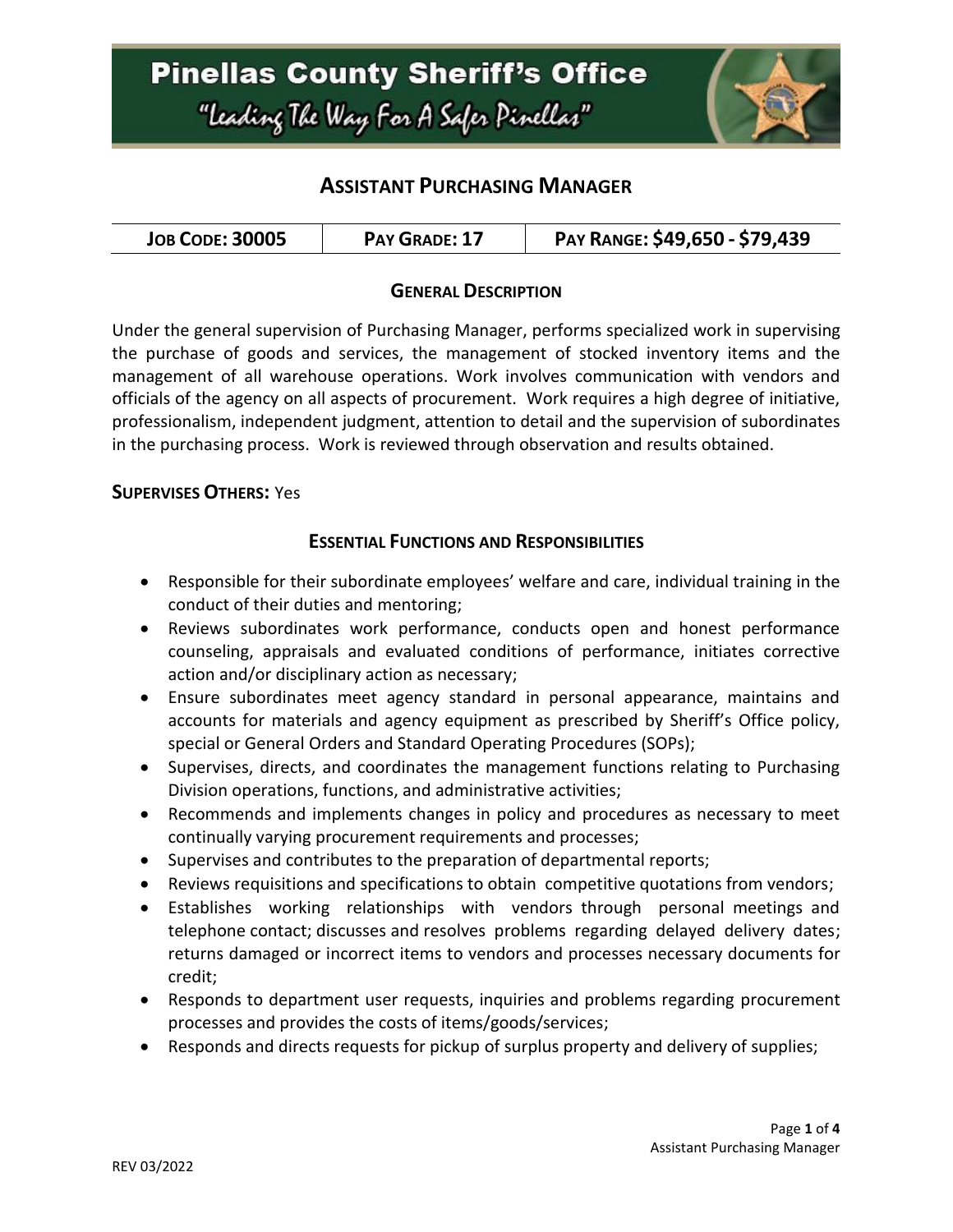

## **ASSISTANT PURCHASING MANAGER**

#### **GENERAL DESCRIPTION**

Under the general supervision of Purchasing Manager, performs specialized work in supervising the purchase of goods and services, the management of stocked inventory items and the management of all warehouse operations. Work involves communication with vendors and officials of the agency on all aspects of procurement. Work requires a high degree of initiative, professionalism, independent judgment, attention to detail and the supervision of subordinates in the purchasing process. Work is reviewed through observation and results obtained.

#### **SUPERVISES OTHERS:** Yes

#### **ESSENTIAL FUNCTIONS AND RESPONSIBILITIES**

- Responsible for their subordinate employees' welfare and care, individual training in the conduct of their duties and mentoring;
- Reviews subordinates work performance, conducts open and honest performance counseling, appraisals and evaluated conditions of performance, initiates corrective action and/or disciplinary action as necessary;
- Ensure subordinates meet agency standard in personal appearance, maintains and accounts for materials and agency equipment as prescribed by Sheriff's Office policy, special or General Orders and Standard Operating Procedures (SOPs);
- Supervises, directs, and coordinates the management functions relating to Purchasing Division operations, functions, and administrative activities;
- Recommends and implements changes in policy and procedures as necessary to meet continually varying procurement requirements and processes;
- Supervises and contributes to the preparation of departmental reports;
- Reviews requisitions and specifications to obtain competitive quotations from vendors;
- Establishes working relationships with vendors through personal meetings and telephone contact; discusses and resolves problems regarding delayed delivery dates; returns damaged or incorrect items to vendors and processes necessary documents for credit;
- Responds to department user requests, inquiries and problems regarding procurement processes and provides the costs of items/goods/services;
- Responds and directs requests for pickup of surplus property and delivery of supplies;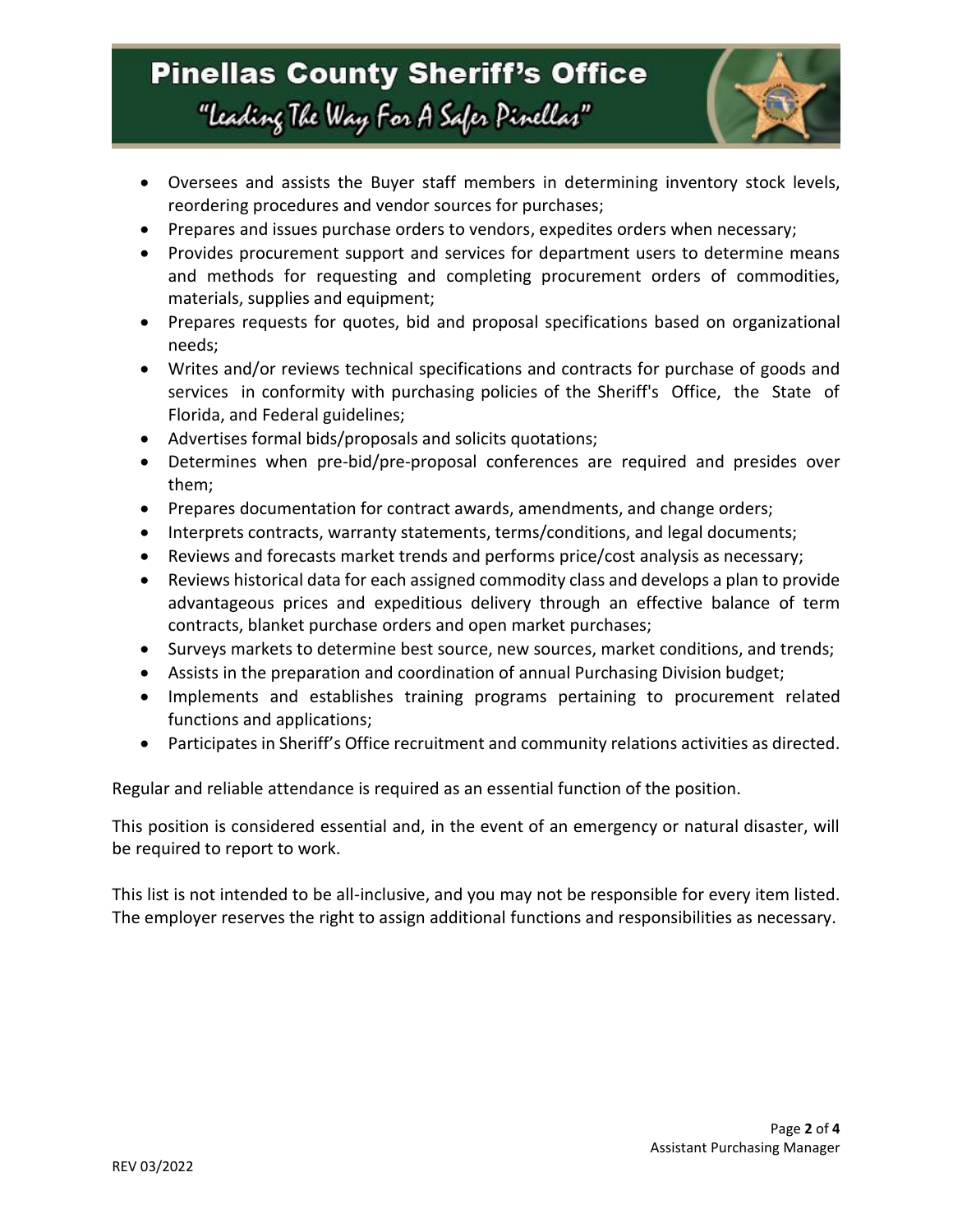## **Pinellas County Sheriff's Office** "Leading The Way For A Safer Pinellar"



- Oversees and assists the Buyer staff members in determining inventory stock levels, reordering procedures and vendor sources for purchases;
- Prepares and issues purchase orders to vendors, expedites orders when necessary;
- Provides procurement support and services for department users to determine means and methods for requesting and completing procurement orders of commodities, materials, supplies and equipment;
- Prepares requests for quotes, bid and proposal specifications based on organizational needs;
- Writes and/or reviews technical specifications and contracts for purchase of goods and services in conformity with purchasing policies of the Sheriff's Office, the State of Florida, and Federal guidelines;
- Advertises formal bids/proposals and solicits quotations;
- Determines when pre-bid/pre-proposal conferences are required and presides over them;
- Prepares documentation for contract awards, amendments, and change orders;
- Interprets contracts, warranty statements, terms/conditions, and legal documents;
- Reviews and forecasts market trends and performs price/cost analysis as necessary;
- Reviews historical data for each assigned commodity class and develops a plan to provide advantageous prices and expeditious delivery through an effective balance of term contracts, blanket purchase orders and open market purchases;
- Surveys markets to determine best source, new sources, market conditions, and trends;
- Assists in the preparation and coordination of annual Purchasing Division budget;
- Implements and establishes training programs pertaining to procurement related functions and applications;
- Participates in Sheriff's Office recruitment and community relations activities as directed.

Regular and reliable attendance is required as an essential function of the position.

This position is considered essential and, in the event of an emergency or natural disaster, will be required to report to work.

This list is not intended to be all-inclusive, and you may not be responsible for every item listed. The employer reserves the right to assign additional functions and responsibilities as necessary.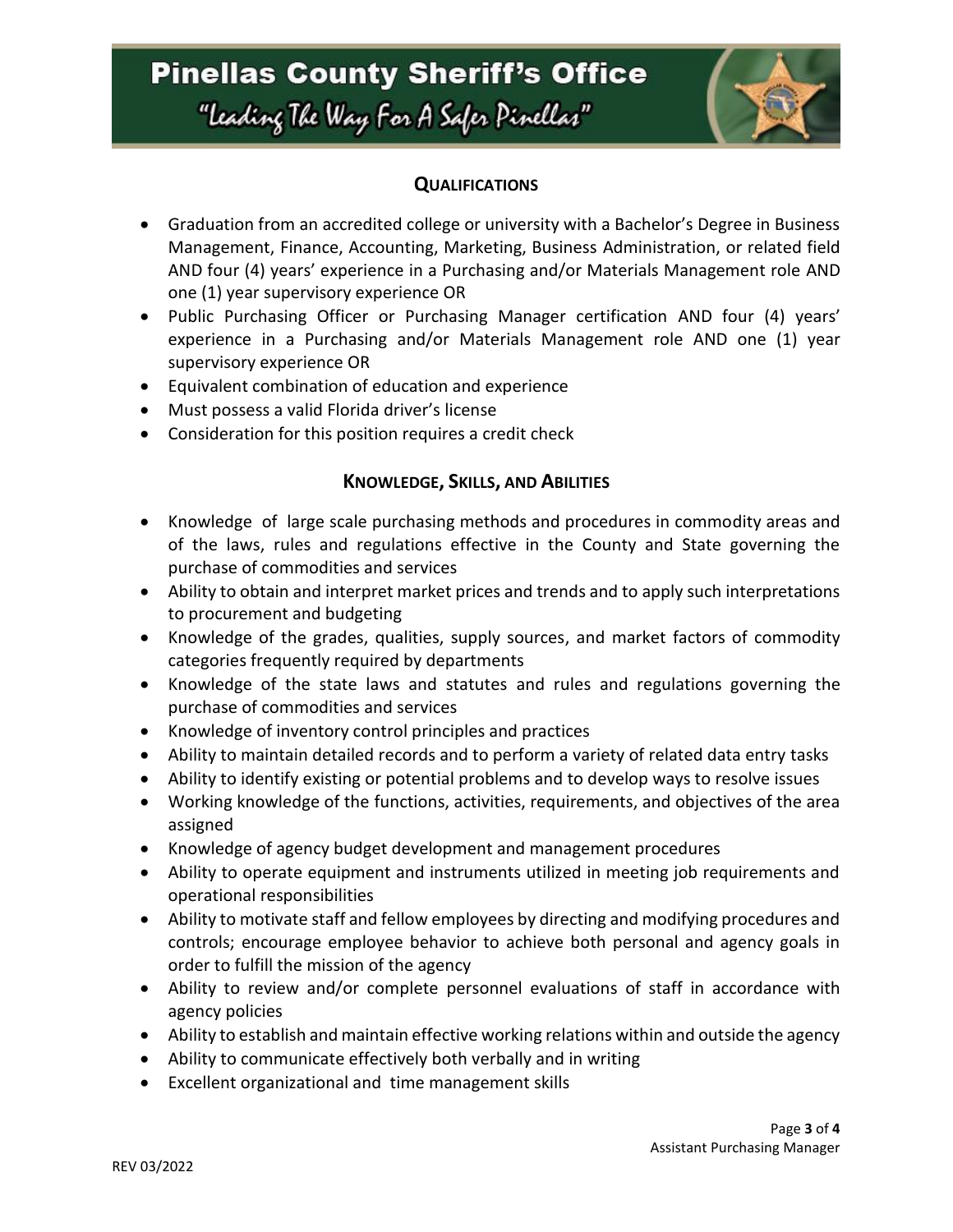# **Pinellas County Sheriff's Office** "Leading The Way For A Safer Pinellar"



### **QUALIFICATIONS**

- Graduation from an accredited college or university with a Bachelor's Degree in Business Management, Finance, Accounting, Marketing, Business Administration, or related field AND four (4) years' experience in a Purchasing and/or Materials Management role AND one (1) year supervisory experience OR
- Public Purchasing Officer or Purchasing Manager certification AND four (4) years' experience in a Purchasing and/or Materials Management role AND one (1) year supervisory experience OR
- Equivalent combination of education and experience
- Must possess a valid Florida driver's license
- Consideration for this position requires a credit check

### **KNOWLEDGE, SKILLS, AND ABILITIES**

- Knowledge of large scale purchasing methods and procedures in commodity areas and of the laws, rules and regulations effective in the County and State governing the purchase of commodities and services
- Ability to obtain and interpret market prices and trends and to apply such interpretations to procurement and budgeting
- Knowledge of the grades, qualities, supply sources, and market factors of commodity categories frequently required by departments
- Knowledge of the state laws and statutes and rules and regulations governing the purchase of commodities and services
- Knowledge of inventory control principles and practices
- Ability to maintain detailed records and to perform a variety of related data entry tasks
- Ability to identify existing or potential problems and to develop ways to resolve issues
- Working knowledge of the functions, activities, requirements, and objectives of the area assigned
- Knowledge of agency budget development and management procedures
- Ability to operate equipment and instruments utilized in meeting job requirements and operational responsibilities
- Ability to motivate staff and fellow employees by directing and modifying procedures and controls; encourage employee behavior to achieve both personal and agency goals in order to fulfill the mission of the agency
- Ability to review and/or complete personnel evaluations of staff in accordance with agency policies
- Ability to establish and maintain effective working relations within and outside the agency
- Ability to communicate effectively both verbally and in writing
- Excellent organizational and time management skills